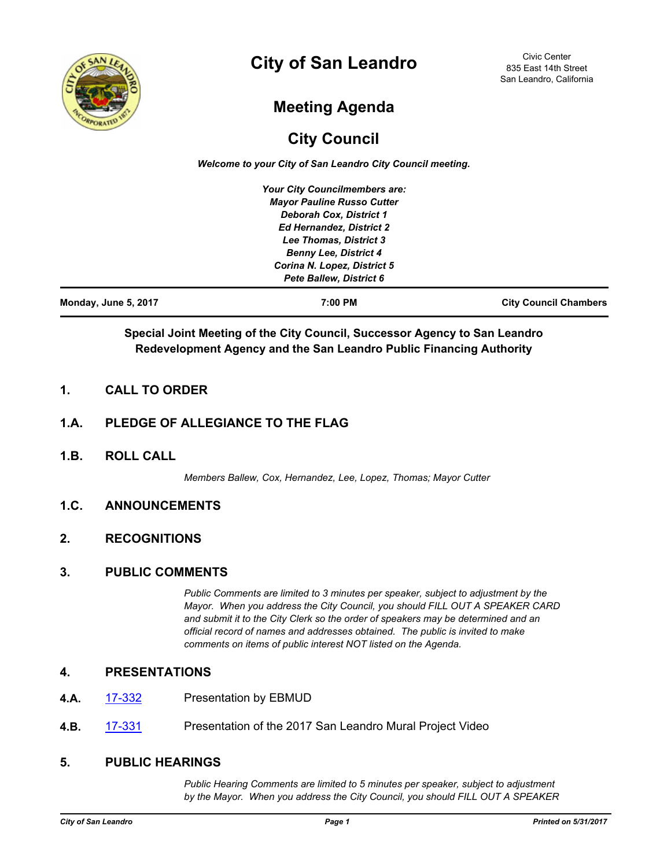

# **City of San Leandro**

Civic Center 835 East 14th Street San Leandro, California

# **Meeting Agenda**

## **City Council**

*Welcome to your City of San Leandro City Council meeting.*

| Monday, June 5, 2017 | 7:00 PM                           | <b>City Council Chambers</b> |
|----------------------|-----------------------------------|------------------------------|
|                      | Pete Ballew, District 6           |                              |
|                      | Corina N. Lopez, District 5       |                              |
|                      | <b>Benny Lee, District 4</b>      |                              |
|                      | Lee Thomas, District 3            |                              |
|                      | <b>Ed Hernandez, District 2</b>   |                              |
|                      | <b>Deborah Cox, District 1</b>    |                              |
|                      | <b>Mayor Pauline Russo Cutter</b> |                              |
|                      | Your City Councilmembers are:     |                              |

## **Special Joint Meeting of the City Council, Successor Agency to San Leandro Redevelopment Agency and the San Leandro Public Financing Authority**

## **1. CALL TO ORDER**

## **1.A. PLEDGE OF ALLEGIANCE TO THE FLAG**

**1.B. ROLL CALL**

*Members Ballew, Cox, Hernandez, Lee, Lopez, Thomas; Mayor Cutter*

### **1.C. ANNOUNCEMENTS**

## **2. RECOGNITIONS**

#### **3. PUBLIC COMMENTS**

*Public Comments are limited to 3 minutes per speaker, subject to adjustment by the Mayor. When you address the City Council, you should FILL OUT A SPEAKER CARD and submit it to the City Clerk so the order of speakers may be determined and an official record of names and addresses obtained. The public is invited to make comments on items of public interest NOT listed on the Agenda.*

#### **4. PRESENTATIONS**

- **4.A.** [17-332](http://sanleandro.legistar.com/gateway.aspx?m=l&id=/matter.aspx?key=5183) Presentation by EBMUD
- **4.B.** [17-331](http://sanleandro.legistar.com/gateway.aspx?m=l&id=/matter.aspx?key=5182) Presentation of the 2017 San Leandro Mural Project Video

#### **5. PUBLIC HEARINGS**

*Public Hearing Comments are limited to 5 minutes per speaker, subject to adjustment by the Mayor. When you address the City Council, you should FILL OUT A SPEAKER*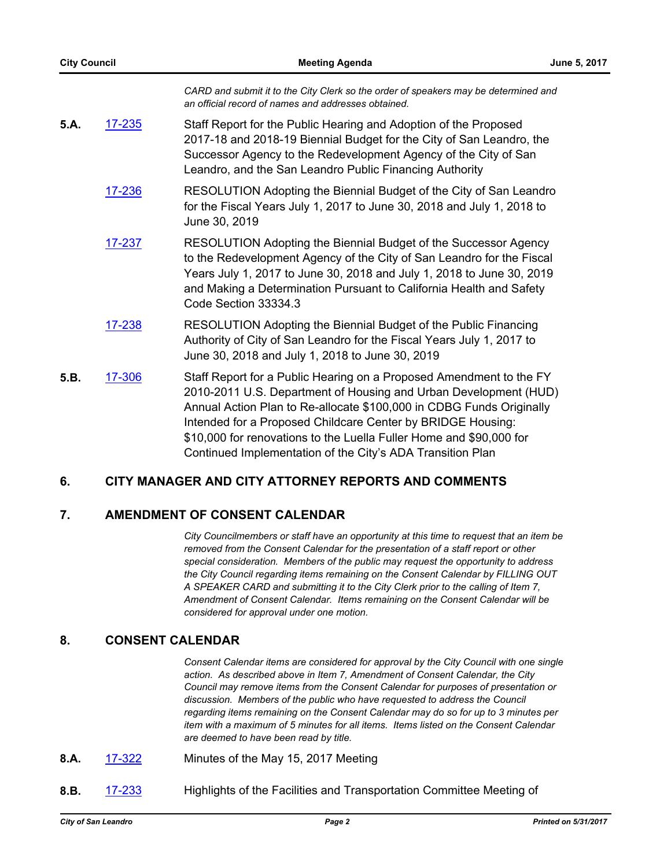|      |        | CARD and submit it to the City Clerk so the order of speakers may be determined and<br>an official record of names and addresses obtained.                                                                                                                                                                       |
|------|--------|------------------------------------------------------------------------------------------------------------------------------------------------------------------------------------------------------------------------------------------------------------------------------------------------------------------|
| 5.A. | 17-235 | Staff Report for the Public Hearing and Adoption of the Proposed<br>2017-18 and 2018-19 Biennial Budget for the City of San Leandro, the<br>Successor Agency to the Redevelopment Agency of the City of San<br>Leandro, and the San Leandro Public Financing Authority                                           |
|      | 17-236 | RESOLUTION Adopting the Biennial Budget of the City of San Leandro<br>for the Fiscal Years July 1, 2017 to June 30, 2018 and July 1, 2018 to<br>June 30, 2019                                                                                                                                                    |
|      | 17-237 | RESOLUTION Adopting the Biennial Budget of the Successor Agency<br>to the Redevelopment Agency of the City of San Leandro for the Fiscal<br>Years July 1, 2017 to June 30, 2018 and July 1, 2018 to June 30, 2019<br>and Making a Determination Pursuant to California Health and Safety<br>Code Section 33334.3 |
|      | 17-238 | RESOLUTION Adopting the Biennial Budget of the Public Financing<br>Authority of City of San Leandro for the Fiscal Years July 1, 2017 to<br>June 30, 2018 and July 1, 2018 to June 30, 2019                                                                                                                      |
| 5.B. | 17-306 | Staff Report for a Public Hearing on a Proposed Amendment to the FY<br>2010-2011 U.S. Department of Housing and Urban Development (HUD)                                                                                                                                                                          |

Annual Action Plan to Re-allocate \$100,000 in CDBG Funds Originally Intended for a Proposed Childcare Center by BRIDGE Housing: \$10,000 for renovations to the Luella Fuller Home and \$90,000 for Continued Implementation of the City's ADA Transition Plan

## **6. CITY MANAGER AND CITY ATTORNEY REPORTS AND COMMENTS**

## **7. AMENDMENT OF CONSENT CALENDAR**

*City Councilmembers or staff have an opportunity at this time to request that an item be removed from the Consent Calendar for the presentation of a staff report or other special consideration. Members of the public may request the opportunity to address the City Council regarding items remaining on the Consent Calendar by FILLING OUT A SPEAKER CARD and submitting it to the City Clerk prior to the calling of Item 7, Amendment of Consent Calendar. Items remaining on the Consent Calendar will be considered for approval under one motion.*

## **8. CONSENT CALENDAR**

*Consent Calendar items are considered for approval by the City Council with one single action. As described above in Item 7, Amendment of Consent Calendar, the City Council may remove items from the Consent Calendar for purposes of presentation or discussion. Members of the public who have requested to address the Council regarding items remaining on the Consent Calendar may do so for up to 3 minutes per item with a maximum of 5 minutes for all items. Items listed on the Consent Calendar are deemed to have been read by title.*

- **8.A.** [17-322](http://sanleandro.legistar.com/gateway.aspx?m=l&id=/matter.aspx?key=5173) Minutes of the May 15, 2017 Meeting
- **8.B.** [17-233](http://sanleandro.legistar.com/gateway.aspx?m=l&id=/matter.aspx?key=5084) Highlights of the Facilities and Transportation Committee Meeting of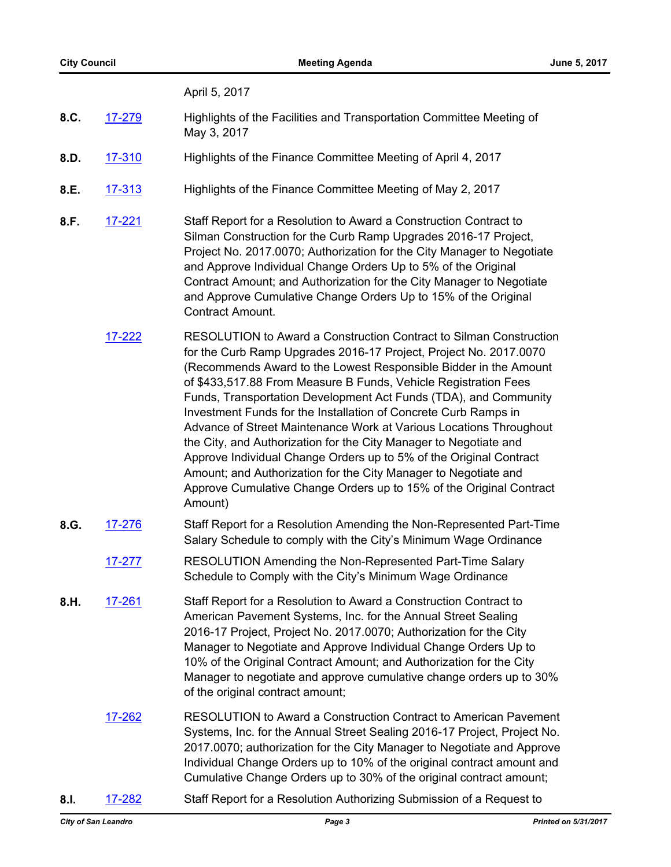April 5, 2017

- **8.C.** [17-279](http://sanleandro.legistar.com/gateway.aspx?m=l&id=/matter.aspx?key=5130) Highlights of the Facilities and Transportation Committee Meeting of May 3, 2017
- **8.D.** [17-310](http://sanleandro.legistar.com/gateway.aspx?m=l&id=/matter.aspx?key=5161) Highlights of the Finance Committee Meeting of April 4, 2017
- **8.E.** [17-313](http://sanleandro.legistar.com/gateway.aspx?m=l&id=/matter.aspx?key=5164) Highlights of the Finance Committee Meeting of May 2, 2017
- **8.F.** [17-221](http://sanleandro.legistar.com/gateway.aspx?m=l&id=/matter.aspx?key=5072) Staff Report for a Resolution to Award a Construction Contract to Silman Construction for the Curb Ramp Upgrades 2016-17 Project, Project No. 2017.0070; Authorization for the City Manager to Negotiate and Approve Individual Change Orders Up to 5% of the Original Contract Amount; and Authorization for the City Manager to Negotiate and Approve Cumulative Change Orders Up to 15% of the Original Contract Amount.
	- [17-222](http://sanleandro.legistar.com/gateway.aspx?m=l&id=/matter.aspx?key=5073) RESOLUTION to Award a Construction Contract to Silman Construction for the Curb Ramp Upgrades 2016-17 Project, Project No. 2017.0070 (Recommends Award to the Lowest Responsible Bidder in the Amount of \$433,517.88 From Measure B Funds, Vehicle Registration Fees Funds, Transportation Development Act Funds (TDA), and Community Investment Funds for the Installation of Concrete Curb Ramps in Advance of Street Maintenance Work at Various Locations Throughout the City, and Authorization for the City Manager to Negotiate and Approve Individual Change Orders up to 5% of the Original Contract Amount; and Authorization for the City Manager to Negotiate and Approve Cumulative Change Orders up to 15% of the Original Contract Amount)
- **8.G.** [17-276](http://sanleandro.legistar.com/gateway.aspx?m=l&id=/matter.aspx?key=5127) Staff Report for a Resolution Amending the Non-Represented Part-Time Salary Schedule to comply with the City's Minimum Wage Ordinance
	- [17-277](http://sanleandro.legistar.com/gateway.aspx?m=l&id=/matter.aspx?key=5128) RESOLUTION Amending the Non-Represented Part-Time Salary Schedule to Comply with the City's Minimum Wage Ordinance
- **8.H.** [17-261](http://sanleandro.legistar.com/gateway.aspx?m=l&id=/matter.aspx?key=5112) Staff Report for a Resolution to Award a Construction Contract to American Pavement Systems, Inc. for the Annual Street Sealing 2016-17 Project, Project No. 2017.0070; Authorization for the City Manager to Negotiate and Approve Individual Change Orders Up to 10% of the Original Contract Amount; and Authorization for the City Manager to negotiate and approve cumulative change orders up to 30% of the original contract amount;
	- [17-262](http://sanleandro.legistar.com/gateway.aspx?m=l&id=/matter.aspx?key=5113) RESOLUTION to Award a Construction Contract to American Pavement Systems, Inc. for the Annual Street Sealing 2016-17 Project, Project No. 2017.0070; authorization for the City Manager to Negotiate and Approve Individual Change Orders up to 10% of the original contract amount and Cumulative Change Orders up to 30% of the original contract amount;
- **8.I.** [17-282](http://sanleandro.legistar.com/gateway.aspx?m=l&id=/matter.aspx?key=5133) Staff Report for a Resolution Authorizing Submission of a Request to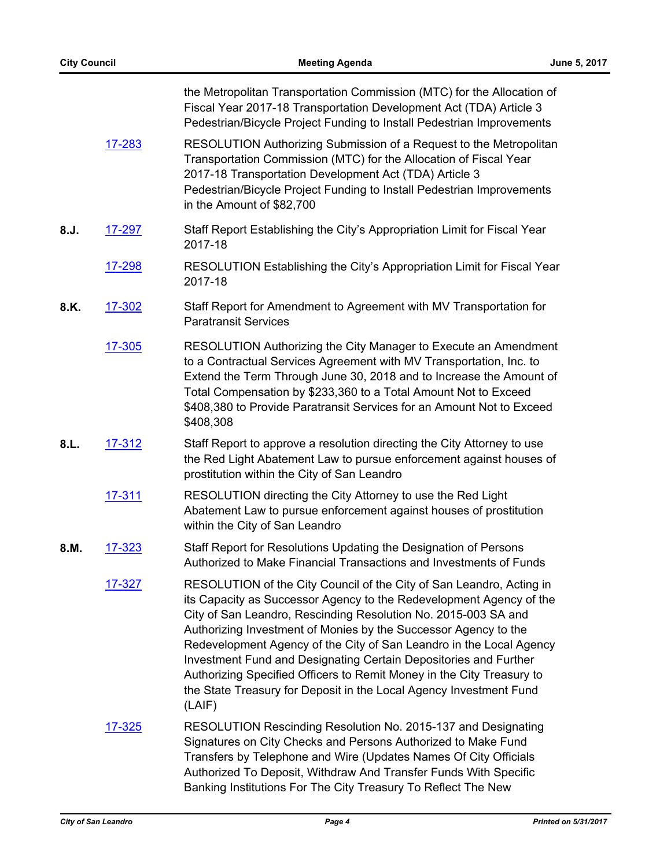|      |               | the Metropolitan Transportation Commission (MTC) for the Allocation of<br>Fiscal Year 2017-18 Transportation Development Act (TDA) Article 3<br>Pedestrian/Bicycle Project Funding to Install Pedestrian Improvements                                                                                                                                                                                                                                                                                                                                                                |
|------|---------------|--------------------------------------------------------------------------------------------------------------------------------------------------------------------------------------------------------------------------------------------------------------------------------------------------------------------------------------------------------------------------------------------------------------------------------------------------------------------------------------------------------------------------------------------------------------------------------------|
|      | 17-283        | RESOLUTION Authorizing Submission of a Request to the Metropolitan<br>Transportation Commission (MTC) for the Allocation of Fiscal Year<br>2017-18 Transportation Development Act (TDA) Article 3<br>Pedestrian/Bicycle Project Funding to Install Pedestrian Improvements<br>in the Amount of \$82,700                                                                                                                                                                                                                                                                              |
| 8.J. | 17-297        | Staff Report Establishing the City's Appropriation Limit for Fiscal Year<br>2017-18                                                                                                                                                                                                                                                                                                                                                                                                                                                                                                  |
|      | <u>17-298</u> | RESOLUTION Establishing the City's Appropriation Limit for Fiscal Year<br>2017-18                                                                                                                                                                                                                                                                                                                                                                                                                                                                                                    |
| 8.K. | 17-302        | Staff Report for Amendment to Agreement with MV Transportation for<br><b>Paratransit Services</b>                                                                                                                                                                                                                                                                                                                                                                                                                                                                                    |
|      | 17-305        | RESOLUTION Authorizing the City Manager to Execute an Amendment<br>to a Contractual Services Agreement with MV Transportation, Inc. to<br>Extend the Term Through June 30, 2018 and to Increase the Amount of<br>Total Compensation by \$233,360 to a Total Amount Not to Exceed<br>\$408,380 to Provide Paratransit Services for an Amount Not to Exceed<br>\$408,308                                                                                                                                                                                                               |
| 8.L. | 17-312        | Staff Report to approve a resolution directing the City Attorney to use<br>the Red Light Abatement Law to pursue enforcement against houses of<br>prostitution within the City of San Leandro                                                                                                                                                                                                                                                                                                                                                                                        |
|      | 17-311        | RESOLUTION directing the City Attorney to use the Red Light<br>Abatement Law to pursue enforcement against houses of prostitution<br>within the City of San Leandro                                                                                                                                                                                                                                                                                                                                                                                                                  |
| 8.M. | 17-323        | Staff Report for Resolutions Updating the Designation of Persons<br>Authorized to Make Financial Transactions and Investments of Funds                                                                                                                                                                                                                                                                                                                                                                                                                                               |
|      | 17-327        | RESOLUTION of the City Council of the City of San Leandro, Acting in<br>its Capacity as Successor Agency to the Redevelopment Agency of the<br>City of San Leandro, Rescinding Resolution No. 2015-003 SA and<br>Authorizing Investment of Monies by the Successor Agency to the<br>Redevelopment Agency of the City of San Leandro in the Local Agency<br>Investment Fund and Designating Certain Depositories and Further<br>Authorizing Specified Officers to Remit Money in the City Treasury to<br>the State Treasury for Deposit in the Local Agency Investment Fund<br>(LAIF) |
|      | <u>17-325</u> | RESOLUTION Rescinding Resolution No. 2015-137 and Designating<br>Signatures on City Checks and Persons Authorized to Make Fund<br>Transfers by Telephone and Wire (Updates Names Of City Officials<br>Authorized To Deposit, Withdraw And Transfer Funds With Specific<br>Banking Institutions For The City Treasury To Reflect The New                                                                                                                                                                                                                                              |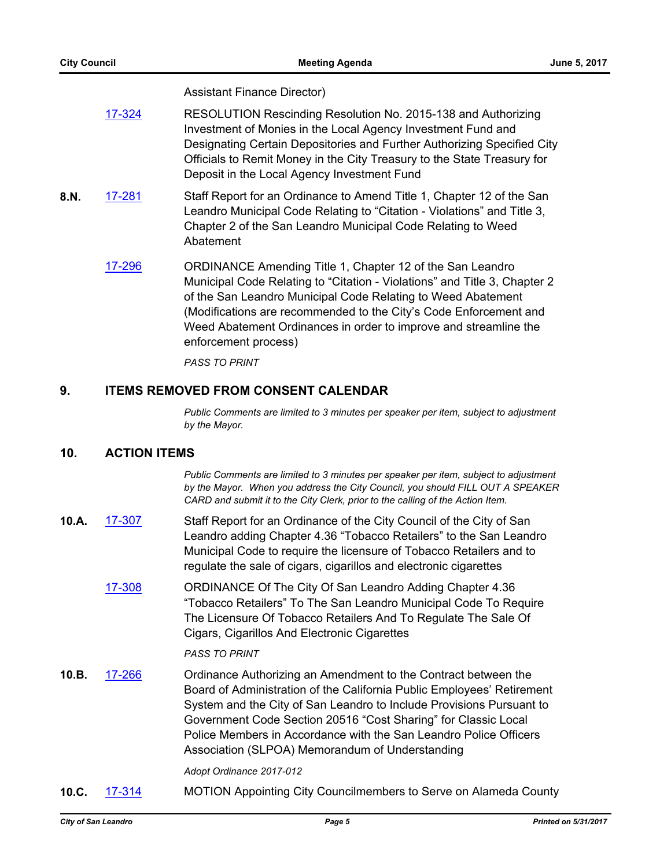Assistant Finance Director)

|      | 17-324 | RESOLUTION Rescinding Resolution No. 2015-138 and Authorizing<br>Investment of Monies in the Local Agency Investment Fund and<br>Designating Certain Depositories and Further Authorizing Specified City<br>Officials to Remit Money in the City Treasury to the State Treasury for<br>Deposit in the Local Agency Investment Fund                                      |
|------|--------|-------------------------------------------------------------------------------------------------------------------------------------------------------------------------------------------------------------------------------------------------------------------------------------------------------------------------------------------------------------------------|
| 8.N. | 17-281 | Staff Report for an Ordinance to Amend Title 1, Chapter 12 of the San<br>Leandro Municipal Code Relating to "Citation - Violations" and Title 3,<br>Chapter 2 of the San Leandro Municipal Code Relating to Weed<br>Abatement                                                                                                                                           |
|      | 17-296 | ORDINANCE Amending Title 1, Chapter 12 of the San Leandro<br>Municipal Code Relating to "Citation - Violations" and Title 3, Chapter 2<br>of the San Leandro Municipal Code Relating to Weed Abatement<br>(Modifications are recommended to the City's Code Enforcement and<br>Weed Abatement Ordinances in order to improve and streamline the<br>enforcement process) |
|      |        | <b>PASS TO PRINT</b>                                                                                                                                                                                                                                                                                                                                                    |

#### **9. ITEMS REMOVED FROM CONSENT CALENDAR**

*Public Comments are limited to 3 minutes per speaker per item, subject to adjustment by the Mayor.*

#### **10. ACTION ITEMS**

*Public Comments are limited to 3 minutes per speaker per item, subject to adjustment by the Mayor. When you address the City Council, you should FILL OUT A SPEAKER CARD and submit it to the City Clerk, prior to the calling of the Action Item.*

- **10.A.** [17-307](http://sanleandro.legistar.com/gateway.aspx?m=l&id=/matter.aspx?key=5158) Staff Report for an Ordinance of the City Council of the City of San Leandro adding Chapter 4.36 "Tobacco Retailers" to the San Leandro Municipal Code to require the licensure of Tobacco Retailers and to regulate the sale of cigars, cigarillos and electronic cigarettes
	- [17-308](http://sanleandro.legistar.com/gateway.aspx?m=l&id=/matter.aspx?key=5159) ORDINANCE Of The City Of San Leandro Adding Chapter 4.36 "Tobacco Retailers" To The San Leandro Municipal Code To Require The Licensure Of Tobacco Retailers And To Regulate The Sale Of Cigars, Cigarillos And Electronic Cigarettes

#### *PASS TO PRINT*

**10.B.** [17-266](http://sanleandro.legistar.com/gateway.aspx?m=l&id=/matter.aspx?key=5117) Ordinance Authorizing an Amendment to the Contract between the Board of Administration of the California Public Employees' Retirement System and the City of San Leandro to Include Provisions Pursuant to Government Code Section 20516 "Cost Sharing" for Classic Local Police Members in Accordance with the San Leandro Police Officers Association (SLPOA) Memorandum of Understanding

*Adopt Ordinance 2017-012*

**10.C.** [17-314](http://sanleandro.legistar.com/gateway.aspx?m=l&id=/matter.aspx?key=5165) MOTION Appointing City Councilmembers to Serve on Alameda County